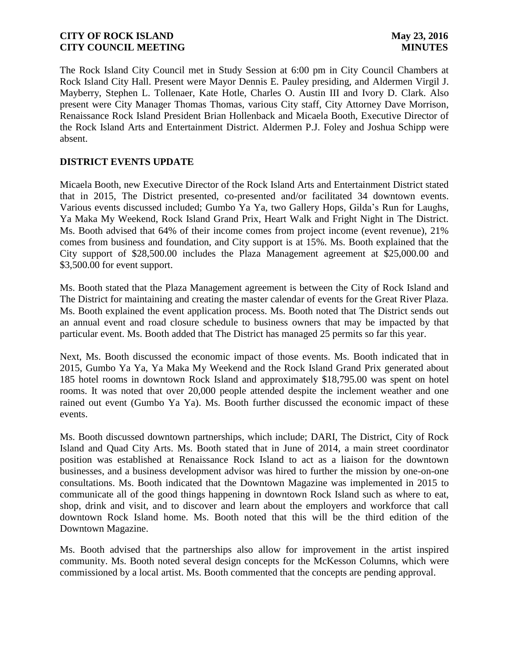The Rock Island City Council met in Study Session at 6:00 pm in City Council Chambers at Rock Island City Hall. Present were Mayor Dennis E. Pauley presiding, and Aldermen Virgil J. Mayberry, Stephen L. Tollenaer, Kate Hotle, Charles O. Austin III and Ivory D. Clark. Also present were City Manager Thomas Thomas, various City staff, City Attorney Dave Morrison, Renaissance Rock Island President Brian Hollenback and Micaela Booth, Executive Director of the Rock Island Arts and Entertainment District. Aldermen P.J. Foley and Joshua Schipp were absent.

# **DISTRICT EVENTS UPDATE**

Micaela Booth, new Executive Director of the Rock Island Arts and Entertainment District stated that in 2015, The District presented, co-presented and/or facilitated 34 downtown events. Various events discussed included; Gumbo Ya Ya, two Gallery Hops, Gilda's Run for Laughs, Ya Maka My Weekend, Rock Island Grand Prix, Heart Walk and Fright Night in The District. Ms. Booth advised that 64% of their income comes from project income (event revenue), 21% comes from business and foundation, and City support is at 15%. Ms. Booth explained that the City support of \$28,500.00 includes the Plaza Management agreement at \$25,000.00 and \$3,500.00 for event support.

Ms. Booth stated that the Plaza Management agreement is between the City of Rock Island and The District for maintaining and creating the master calendar of events for the Great River Plaza. Ms. Booth explained the event application process. Ms. Booth noted that The District sends out an annual event and road closure schedule to business owners that may be impacted by that particular event. Ms. Booth added that The District has managed 25 permits so far this year.

Next, Ms. Booth discussed the economic impact of those events. Ms. Booth indicated that in 2015, Gumbo Ya Ya, Ya Maka My Weekend and the Rock Island Grand Prix generated about 185 hotel rooms in downtown Rock Island and approximately \$18,795.00 was spent on hotel rooms. It was noted that over 20,000 people attended despite the inclement weather and one rained out event (Gumbo Ya Ya). Ms. Booth further discussed the economic impact of these events.

Ms. Booth discussed downtown partnerships, which include; DARI, The District, City of Rock Island and Quad City Arts. Ms. Booth stated that in June of 2014, a main street coordinator position was established at Renaissance Rock Island to act as a liaison for the downtown businesses, and a business development advisor was hired to further the mission by one-on-one consultations. Ms. Booth indicated that the Downtown Magazine was implemented in 2015 to communicate all of the good things happening in downtown Rock Island such as where to eat, shop, drink and visit, and to discover and learn about the employers and workforce that call downtown Rock Island home. Ms. Booth noted that this will be the third edition of the Downtown Magazine.

Ms. Booth advised that the partnerships also allow for improvement in the artist inspired community. Ms. Booth noted several design concepts for the McKesson Columns, which were commissioned by a local artist. Ms. Booth commented that the concepts are pending approval.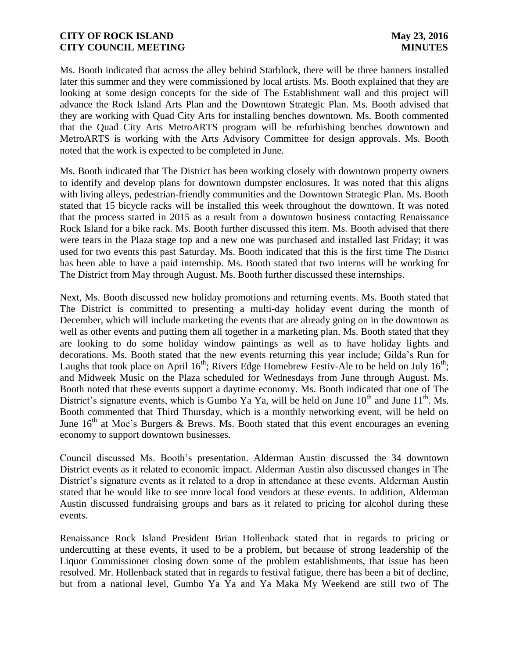Ms. Booth indicated that across the alley behind Starblock, there will be three banners installed later this summer and they were commissioned by local artists. Ms. Booth explained that they are looking at some design concepts for the side of The Establishment wall and this project will advance the Rock Island Arts Plan and the Downtown Strategic Plan. Ms. Booth advised that they are working with Quad City Arts for installing benches downtown. Ms. Booth commented that the Quad City Arts MetroARTS program will be refurbishing benches downtown and MetroARTS is working with the Arts Advisory Committee for design approvals. Ms. Booth noted that the work is expected to be completed in June.

Ms. Booth indicated that The District has been working closely with downtown property owners to identify and develop plans for downtown dumpster enclosures. It was noted that this aligns with living alleys, pedestrian-friendly communities and the Downtown Strategic Plan. Ms. Booth stated that 15 bicycle racks will be installed this week throughout the downtown. It was noted that the process started in 2015 as a result from a downtown business contacting Renaissance Rock Island for a bike rack. Ms. Booth further discussed this item. Ms. Booth advised that there were tears in the Plaza stage top and a new one was purchased and installed last Friday; it was used for two events this past Saturday. Ms. Booth indicated that this is the first time The District has been able to have a paid internship. Ms. Booth stated that two interns will be working for The District from May through August. Ms. Booth further discussed these internships.

Next, Ms. Booth discussed new holiday promotions and returning events. Ms. Booth stated that The District is committed to presenting a multi-day holiday event during the month of December, which will include marketing the events that are already going on in the downtown as well as other events and putting them all together in a marketing plan. Ms. Booth stated that they are looking to do some holiday window paintings as well as to have holiday lights and decorations. Ms. Booth stated that the new events returning this year include; Gilda's Run for Laughs that took place on April  $16<sup>th</sup>$ ; Rivers Edge Homebrew Festiv-Ale to be held on July  $16<sup>th</sup>$ ; and Midweek Music on the Plaza scheduled for Wednesdays from June through August. Ms. Booth noted that these events support a daytime economy. Ms. Booth indicated that one of The District's signature events, which is Gumbo Ya Ya, will be held on June  $10^{th}$  and June  $11^{th}$ . Ms. Booth commented that Third Thursday, which is a monthly networking event, will be held on June  $16<sup>th</sup>$  at Moe's Burgers & Brews. Ms. Booth stated that this event encourages an evening economy to support downtown businesses.

Council discussed Ms. Booth's presentation. Alderman Austin discussed the 34 downtown District events as it related to economic impact. Alderman Austin also discussed changes in The District's signature events as it related to a drop in attendance at these events. Alderman Austin stated that he would like to see more local food vendors at these events. In addition, Alderman Austin discussed fundraising groups and bars as it related to pricing for alcohol during these events.

Renaissance Rock Island President Brian Hollenback stated that in regards to pricing or undercutting at these events, it used to be a problem, but because of strong leadership of the Liquor Commissioner closing down some of the problem establishments, that issue has been resolved. Mr. Hollenback stated that in regards to festival fatigue, there has been a bit of decline, but from a national level, Gumbo Ya Ya and Ya Maka My Weekend are still two of The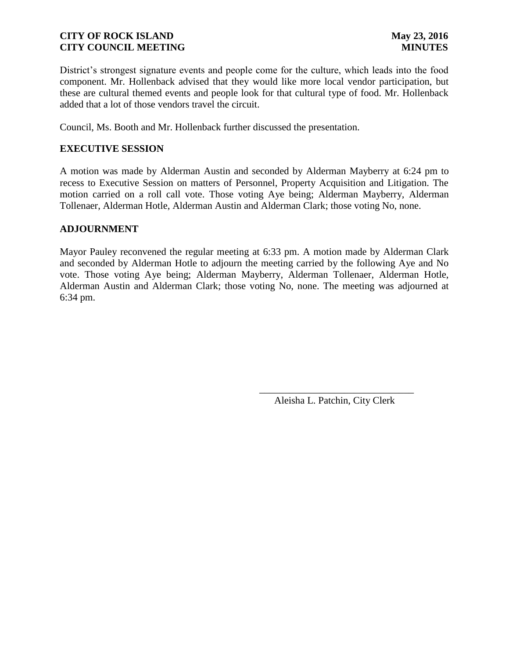District's strongest signature events and people come for the culture, which leads into the food component. Mr. Hollenback advised that they would like more local vendor participation, but these are cultural themed events and people look for that cultural type of food. Mr. Hollenback added that a lot of those vendors travel the circuit.

Council, Ms. Booth and Mr. Hollenback further discussed the presentation.

# **EXECUTIVE SESSION**

A motion was made by Alderman Austin and seconded by Alderman Mayberry at 6:24 pm to recess to Executive Session on matters of Personnel, Property Acquisition and Litigation. The motion carried on a roll call vote. Those voting Aye being; Alderman Mayberry, Alderman Tollenaer, Alderman Hotle, Alderman Austin and Alderman Clark; those voting No, none.

## **ADJOURNMENT**

Mayor Pauley reconvened the regular meeting at 6:33 pm. A motion made by Alderman Clark and seconded by Alderman Hotle to adjourn the meeting carried by the following Aye and No vote. Those voting Aye being; Alderman Mayberry, Alderman Tollenaer, Alderman Hotle, Alderman Austin and Alderman Clark; those voting No, none. The meeting was adjourned at 6:34 pm.

 $\overline{\phantom{a}}$  , and the contract of the contract of the contract of the contract of the contract of the contract of the contract of the contract of the contract of the contract of the contract of the contract of the contrac

Aleisha L. Patchin, City Clerk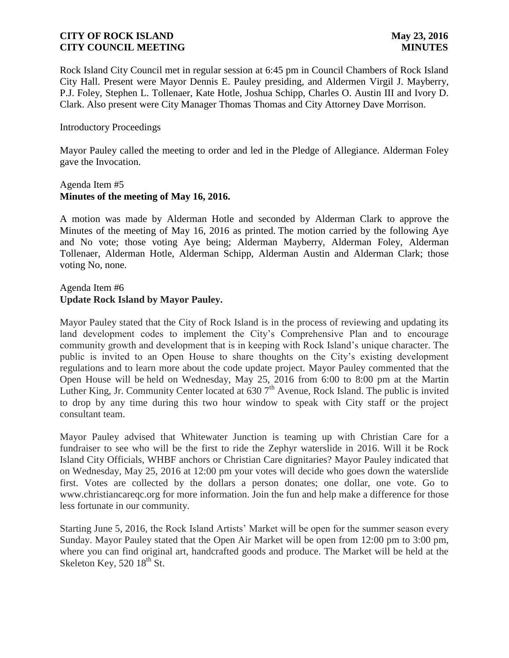Rock Island City Council met in regular session at 6:45 pm in Council Chambers of Rock Island City Hall. Present were Mayor Dennis E. Pauley presiding, and Aldermen Virgil J. Mayberry, P.J. Foley, Stephen L. Tollenaer, Kate Hotle, Joshua Schipp, Charles O. Austin III and Ivory D. Clark. Also present were City Manager Thomas Thomas and City Attorney Dave Morrison.

### Introductory Proceedings

Mayor Pauley called the meeting to order and led in the Pledge of Allegiance. Alderman Foley gave the Invocation.

### Agenda Item #5 **Minutes of the meeting of May 16, 2016.**

A motion was made by Alderman Hotle and seconded by Alderman Clark to approve the Minutes of the meeting of May 16, 2016 as printed. The motion carried by the following Aye and No vote; those voting Aye being; Alderman Mayberry, Alderman Foley, Alderman Tollenaer, Alderman Hotle, Alderman Schipp, Alderman Austin and Alderman Clark; those voting No, none.

# Agenda Item #6 **Update Rock Island by Mayor Pauley.**

Mayor Pauley stated that the City of Rock Island is in the process of reviewing and updating its land development codes to implement the City's Comprehensive Plan and to encourage community growth and development that is in keeping with Rock Island's unique character. The public is invited to an Open House to share thoughts on the City's existing development regulations and to learn more about the code update project. Mayor Pauley commented that the Open House will be held on Wednesday, May 25, 2016 from 6:00 to 8:00 pm at the Martin Luther King, Jr. Community Center located at  $6307<sup>th</sup>$  Avenue, Rock Island. The public is invited to drop by any time during this two hour window to speak with City staff or the project consultant team.

Mayor Pauley advised that Whitewater Junction is teaming up with Christian Care for a fundraiser to see who will be the first to ride the Zephyr waterslide in 2016. Will it be Rock Island City Officials, WHBF anchors or Christian Care dignitaries? Mayor Pauley indicated that on Wednesday, May 25, 2016 at 12:00 pm your votes will decide who goes down the waterslide first. Votes are collected by the dollars a person donates; one dollar, one vote. Go to www.christiancareqc.org for more information. Join the fun and help make a difference for those less fortunate in our community.

Starting June 5, 2016, the Rock Island Artists' Market will be open for the summer season every Sunday. Mayor Pauley stated that the Open Air Market will be open from 12:00 pm to 3:00 pm, where you can find original art, handcrafted goods and produce. The Market will be held at the Skeleton Key,  $52018^{\text{th}}$  St.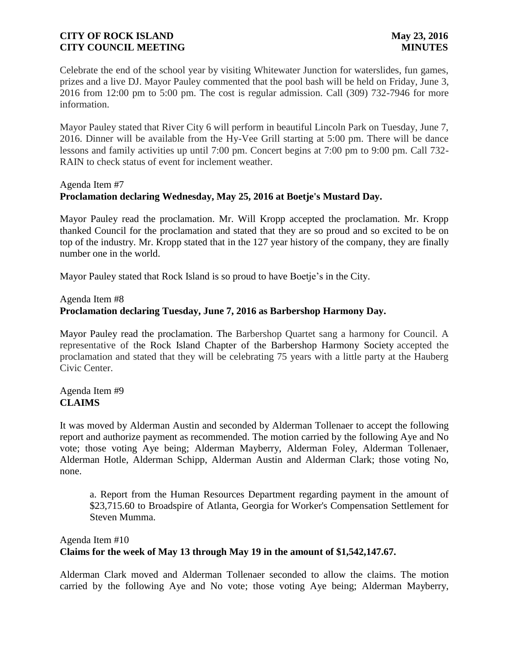Celebrate the end of the school year by visiting Whitewater Junction for waterslides, fun games, prizes and a live DJ. Mayor Pauley commented that the pool bash will be held on Friday, June 3, 2016 from 12:00 pm to 5:00 pm. The cost is regular admission. Call (309) 732-7946 for more information.

Mayor Pauley stated that River City 6 will perform in beautiful Lincoln Park on Tuesday, June 7, 2016. Dinner will be available from the Hy-Vee Grill starting at 5:00 pm. There will be dance lessons and family activities up until 7:00 pm. Concert begins at 7:00 pm to 9:00 pm. Call 732- RAIN to check status of event for inclement weather.

# Agenda Item #7 **Proclamation declaring Wednesday, May 25, 2016 at Boetje's Mustard Day.**

Mayor Pauley read the proclamation. Mr. Will Kropp accepted the proclamation. Mr. Kropp thanked Council for the proclamation and stated that they are so proud and so excited to be on top of the industry. Mr. Kropp stated that in the 127 year history of the company, they are finally number one in the world.

Mayor Pauley stated that Rock Island is so proud to have Boetje's in the City.

# Agenda Item #8 **Proclamation declaring Tuesday, June 7, 2016 as Barbershop Harmony Day.**

Mayor Pauley read the proclamation. The Barbershop Quartet sang a harmony for Council. A representative of the Rock Island Chapter of the Barbershop Harmony Society accepted the proclamation and stated that they will be celebrating 75 years with a little party at the Hauberg Civic Center.

# Agenda Item #9 **CLAIMS**

It was moved by Alderman Austin and seconded by Alderman Tollenaer to accept the following report and authorize payment as recommended. The motion carried by the following Aye and No vote; those voting Aye being; Alderman Mayberry, Alderman Foley, Alderman Tollenaer, Alderman Hotle, Alderman Schipp, Alderman Austin and Alderman Clark; those voting No, none.

a. Report from the Human Resources Department regarding payment in the amount of \$23,715.60 to Broadspire of Atlanta, Georgia for Worker's Compensation Settlement for Steven Mumma.

# Agenda Item #10 **Claims for the week of May 13 through May 19 in the amount of \$1,542,147.67.**

Alderman Clark moved and Alderman Tollenaer seconded to allow the claims. The motion carried by the following Aye and No vote; those voting Aye being; Alderman Mayberry,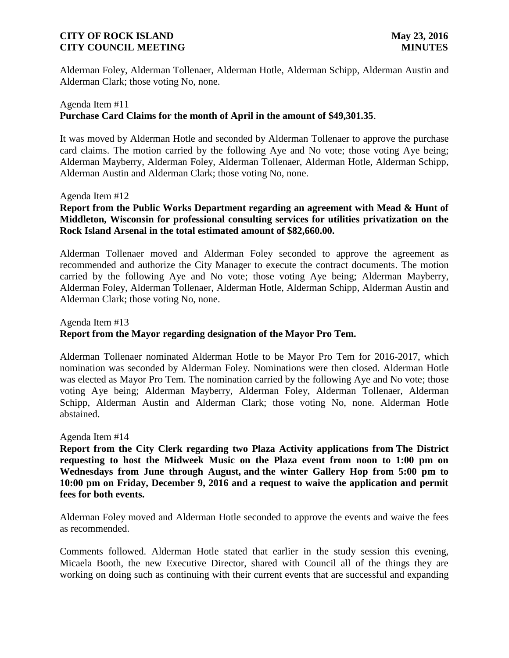Alderman Foley, Alderman Tollenaer, Alderman Hotle, Alderman Schipp, Alderman Austin and Alderman Clark; those voting No, none.

## Agenda Item #11 **Purchase Card Claims for the month of April in the amount of \$49,301.35**.

It was moved by Alderman Hotle and seconded by Alderman Tollenaer to approve the purchase card claims. The motion carried by the following Aye and No vote; those voting Aye being; Alderman Mayberry, Alderman Foley, Alderman Tollenaer, Alderman Hotle, Alderman Schipp, Alderman Austin and Alderman Clark; those voting No, none.

#### Agenda Item #12

# **Report from the Public Works Department regarding an agreement with Mead & Hunt of Middleton, Wisconsin for professional consulting services for utilities privatization on the Rock Island Arsenal in the total estimated amount of \$82,660.00.**

Alderman Tollenaer moved and Alderman Foley seconded to approve the agreement as recommended and authorize the City Manager to execute the contract documents. The motion carried by the following Aye and No vote; those voting Aye being; Alderman Mayberry, Alderman Foley, Alderman Tollenaer, Alderman Hotle, Alderman Schipp, Alderman Austin and Alderman Clark; those voting No, none.

# Agenda Item #13 **Report from the Mayor regarding designation of the Mayor Pro Tem.**

Alderman Tollenaer nominated Alderman Hotle to be Mayor Pro Tem for 2016-2017, which nomination was seconded by Alderman Foley. Nominations were then closed. Alderman Hotle was elected as Mayor Pro Tem. The nomination carried by the following Aye and No vote; those voting Aye being; Alderman Mayberry, Alderman Foley, Alderman Tollenaer, Alderman Schipp, Alderman Austin and Alderman Clark; those voting No, none. Alderman Hotle abstained.

#### Agenda Item #14

**Report from the City Clerk regarding two Plaza Activity applications from The District requesting to host the Midweek Music on the Plaza event from noon to 1:00 pm on Wednesdays from June through August, and the winter Gallery Hop from 5:00 pm to 10:00 pm on Friday, December 9, 2016 and a request to waive the application and permit fees for both events.**

Alderman Foley moved and Alderman Hotle seconded to approve the events and waive the fees as recommended.

Comments followed. Alderman Hotle stated that earlier in the study session this evening, Micaela Booth, the new Executive Director, shared with Council all of the things they are working on doing such as continuing with their current events that are successful and expanding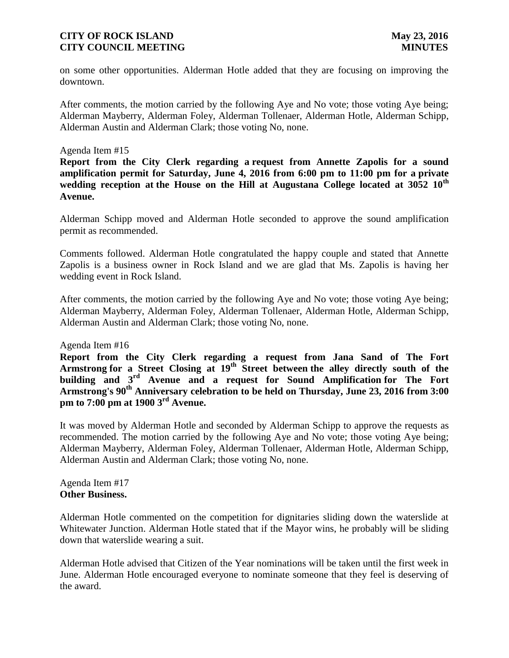on some other opportunities. Alderman Hotle added that they are focusing on improving the downtown.

After comments, the motion carried by the following Aye and No vote; those voting Aye being; Alderman Mayberry, Alderman Foley, Alderman Tollenaer, Alderman Hotle, Alderman Schipp, Alderman Austin and Alderman Clark; those voting No, none.

### Agenda Item #15

**Report from the City Clerk regarding a request from Annette Zapolis for a sound amplification permit for Saturday, June 4, 2016 from 6:00 pm to 11:00 pm for a private wedding reception at the House on the Hill at Augustana College located at 3052 10th Avenue.**

Alderman Schipp moved and Alderman Hotle seconded to approve the sound amplification permit as recommended.

Comments followed. Alderman Hotle congratulated the happy couple and stated that Annette Zapolis is a business owner in Rock Island and we are glad that Ms. Zapolis is having her wedding event in Rock Island.

After comments, the motion carried by the following Aye and No vote; those voting Aye being; Alderman Mayberry, Alderman Foley, Alderman Tollenaer, Alderman Hotle, Alderman Schipp, Alderman Austin and Alderman Clark; those voting No, none.

Agenda Item #16

**Report from the City Clerk regarding a request from Jana Sand of The Fort Armstrong for a Street Closing at 19th Street between the alley directly south of the building and 3rd Avenue and a request for Sound Amplification for The Fort Armstrong's 90th Anniversary celebration to be held on Thursday, June 23, 2016 from 3:00 pm to 7:00 pm at 1900 3rd Avenue.**

It was moved by Alderman Hotle and seconded by Alderman Schipp to approve the requests as recommended. The motion carried by the following Aye and No vote; those voting Aye being; Alderman Mayberry, Alderman Foley, Alderman Tollenaer, Alderman Hotle, Alderman Schipp, Alderman Austin and Alderman Clark; those voting No, none.

Agenda Item #17 **Other Business.**

Alderman Hotle commented on the competition for dignitaries sliding down the waterslide at Whitewater Junction. Alderman Hotle stated that if the Mayor wins, he probably will be sliding down that waterslide wearing a suit.

Alderman Hotle advised that Citizen of the Year nominations will be taken until the first week in June. Alderman Hotle encouraged everyone to nominate someone that they feel is deserving of the award.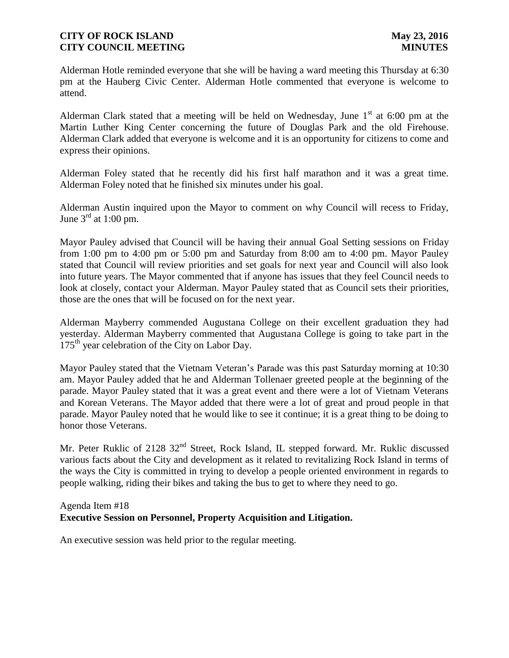Alderman Hotle reminded everyone that she will be having a ward meeting this Thursday at 6:30 pm at the Hauberg Civic Center. Alderman Hotle commented that everyone is welcome to attend.

Alderman Clark stated that a meeting will be held on Wednesday, June  $1<sup>st</sup>$  at 6:00 pm at the Martin Luther King Center concerning the future of Douglas Park and the old Firehouse. Alderman Clark added that everyone is welcome and it is an opportunity for citizens to come and express their opinions.

Alderman Foley stated that he recently did his first half marathon and it was a great time. Alderman Foley noted that he finished six minutes under his goal.

Alderman Austin inquired upon the Mayor to comment on why Council will recess to Friday, June  $3<sup>rd</sup>$  at 1:00 pm.

Mayor Pauley advised that Council will be having their annual Goal Setting sessions on Friday from 1:00 pm to 4:00 pm or 5:00 pm and Saturday from 8:00 am to 4:00 pm. Mayor Pauley stated that Council will review priorities and set goals for next year and Council will also look into future years. The Mayor commented that if anyone has issues that they feel Council needs to look at closely, contact your Alderman. Mayor Pauley stated that as Council sets their priorities, those are the ones that will be focused on for the next year.

Alderman Mayberry commended Augustana College on their excellent graduation they had yesterday. Alderman Mayberry commented that Augustana College is going to take part in the  $175<sup>th</sup>$  year celebration of the City on Labor Day.

Mayor Pauley stated that the Vietnam Veteran's Parade was this past Saturday morning at 10:30 am. Mayor Pauley added that he and Alderman Tollenaer greeted people at the beginning of the parade. Mayor Pauley stated that it was a great event and there were a lot of Vietnam Veterans and Korean Veterans. The Mayor added that there were a lot of great and proud people in that parade. Mayor Pauley noted that he would like to see it continue; it is a great thing to be doing to honor those Veterans.

Mr. Peter Ruklic of 2128 32<sup>nd</sup> Street, Rock Island, IL stepped forward. Mr. Ruklic discussed various facts about the City and development as it related to revitalizing Rock Island in terms of the ways the City is committed in trying to develop a people oriented environment in regards to people walking, riding their bikes and taking the bus to get to where they need to go.

#### Agenda Item #18 **Executive Session on Personnel, Property Acquisition and Litigation.**

An executive session was held prior to the regular meeting.